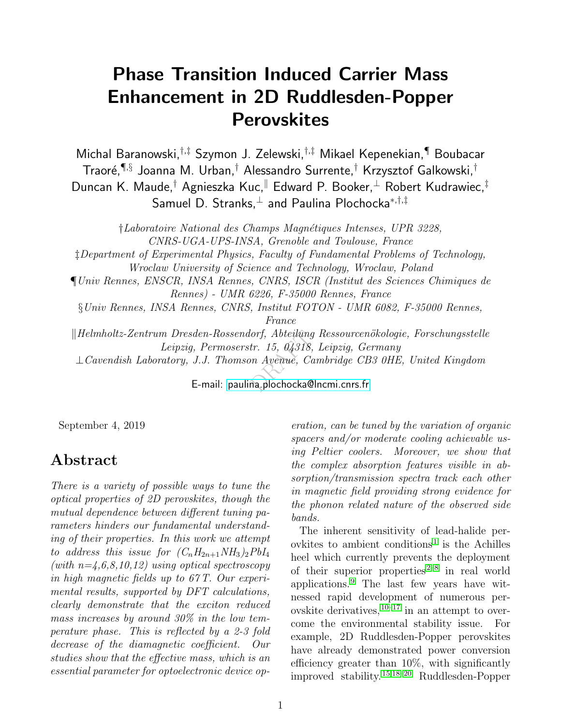## Phase Transition Induced Carrier Mass Enhancement in 2D Ruddlesden-Popper **Perovskites**

Michal Baranowski,†,‡ Szymon J. Zelewski,†,‡ Mikael Kepenekian,¶ Boubacar Traoré, $\P^{\!\!,\S}$  Joanna M. Urban, $^\dagger$  Alessandro Surrente, $^\dagger$  Krzysztof Galkowski, $^\dagger$ Duncan K. Maude,<sup>†</sup> Agnieszka Kuc,<sup>||</sup> Edward P. Booker,<sup>⊥</sup> Robert Kudrawiec,<sup>‡</sup> Samuel D. Stranks,<sup>⊥</sup> and Paulina Plochocka<sup>\*,†,‡</sup>

lorf, Abteilûng<br>tr. 15, 04318,<br>vn Avenue, Car<br>na,plochocka©lı †Laboratoire National des Champs Magn´etiques Intenses, UPR 3228, CNRS-UGA-UPS-INSA, Grenoble and Toulouse, France ‡Department of Experimental Physics, Faculty of Fundamental Problems of Technology, Wroclaw University of Science and Technology, Wroclaw, Poland ¶Univ Rennes, ENSCR, INSA Rennes, CNRS, ISCR (Institut des Sciences Chimiques de Rennes) - UMR 6226, F-35000 Rennes, France §Univ Rennes, INSA Rennes, CNRS, Institut FOTON - UMR 6082, F-35000 Rennes, France  $\Vert H \Vert = \Vert H \Vert$  Elmholtz-Zentrum Dresden-Rossendorf, Abteilung Ressourcenökologie, Forschungsstelle Leipzig, Permoserstr. 15, 04318, Leipzig, Germany ⊥Cavendish Laboratory, J.J. Thomson Avenue, Cambridge CB3 0HE, United Kingdom

E-mail:<paulina.plochocka@lncmi.cnrs.fr>

September 4, 2019

#### Abstract

There is a variety of possible ways to tune the optical properties of 2D perovskites, though the mutual dependence between different tuning parameters hinders our fundamental understanding of their properties. In this work we attempt to address this issue for  $(C_nH_{2n+1}NH_3)_2PbI_4$ (with  $n=\xi,6,8,10,12$ ) using optical spectroscopy in high magnetic fields up to 67 T. Our experimental results, supported by DFT calculations, clearly demonstrate that the exciton reduced mass increases by around 30% in the low temperature phase. This is reflected by a 2-3 fold decrease of the diamagnetic coefficient. Our studies show that the effective mass, which is an essential parameter for optoelectronic device op-

eration, can be tuned by the variation of organic spacers and/or moderate cooling achievable using Peltier coolers. Moreover, we show that the complex absorption features visible in absorption/transmission spectra track each other in magnetic field providing strong evidence for the phonon related nature of the observed side bands.

The inherent sensitivity of lead-halide per-ovkites to ambient conditions<sup>[1](#page-7-0)</sup> is the Achilles heel which currently prevents the deployment of their superior properties  $2^{-8}$  $2^{-8}$  in real world applications.[9](#page-7-3) The last few years have witnessed rapid development of numerous perovskite derivatives,  $10^{-17}$  $10^{-17}$  $10^{-17}$  in an attempt to overcome the environmental stability issue. For example, 2D Ruddlesden-Popper perovskites have already demonstrated power conversion efficiency greater than 10%, with significantly improved stability.[15,](#page-8-2)[18–](#page-8-3)[20](#page-8-4) Ruddlesden-Popper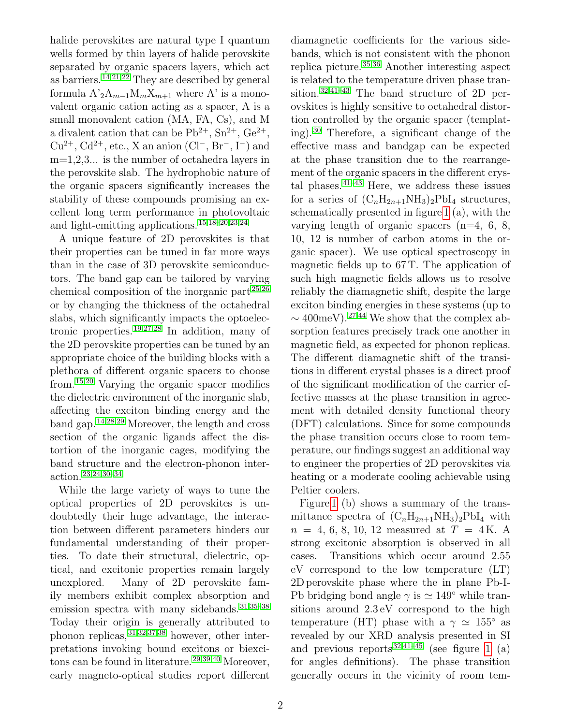halide perovskites are natural type I quantum wells formed by thin layers of halide perovskite separated by organic spacers layers, which act as barriers.<sup>[14,](#page-8-5)[21,](#page-8-6)[22](#page-8-7)</sup> They are described by general formula  $A^2 A_{m-1} M_m X_{m+1}$  where A' is a monovalent organic cation acting as a spacer, A is a small monovalent cation (MA, FA, Cs), and M a divalent cation that can be  $Pb^{2+}$ ,  $Sn^{2+}$ ,  $Ge^{2+}$ ,  $Cu^{2+}$ ,  $Cd^{2+}$ , etc., X an anion  $(Cl^-, Br^-, I^-)$  and  $m=1,2,3...$  is the number of octahedra layers in the perovskite slab. The hydrophobic nature of the organic spacers significantly increases the stability of these compounds promising an excellent long term performance in photovoltaic and light-emitting applications. [15,](#page-8-2)[18](#page-8-3)[–20,](#page-8-4)[23,](#page-8-8)[24](#page-9-0)

A unique feature of 2D perovskites is that their properties can be tuned in far more ways than in the case of 3D perovskite semiconductors. The band gap can be tailored by varying chemical composition of the inorganic part [25,](#page-9-1)[26](#page-9-2) or by changing the thickness of the octahedral slabs, which significantly impacts the optoelectronic properties. [19](#page-8-9)[,27,](#page-9-3)[28](#page-9-4) In addition, many of the 2D perovskite properties can be tuned by an appropriate choice of the building blocks with a plethora of different organic spacers to choose from.[15,](#page-8-2)[20](#page-8-4) Varying the organic spacer modifies the dielectric environment of the inorganic slab, affecting the exciton binding energy and the band gap.[14](#page-8-5)[,28](#page-9-4)[,29](#page-9-5) Moreover, the length and cross section of the organic ligands affect the distortion of the inorganic cages, modifying the band structure and the electron-phonon interaction.[23,](#page-8-8)[24](#page-9-0)[,30–](#page-9-6)[34](#page-9-7)

While the large variety of ways to tune the optical properties of 2D perovskites is undoubtedly their huge advantage, the interaction between different parameters hinders our fundamental understanding of their properties. To date their structural, dielectric, optical, and excitonic properties remain largely unexplored. Many of 2D perovskite family members exhibit complex absorption and emission spectra with many sidebands.  $31,35-38$  $31,35-38$  $31,35-38$ Today their origin is generally attributed to phonon replicas,  $31,32,37,38$  $31,32,37,38$  $31,32,37,38$  $31,32,37,38$  however, other interpretations invoking bound excitons or biexcitons can be found in literature. [29](#page-9-5)[,39,](#page-10-1)[40](#page-10-2) Moreover, early magneto-optical studies report different

diamagnetic coefficients for the various sidebands, which is not consistent with the phonon replica picture.[35](#page-9-9)[,36](#page-9-12) Another interesting aspect is related to the temperature driven phase transition.[32,](#page-9-10)[41](#page-10-3)[–43](#page-10-4) The band structure of 2D perovskites is highly sensitive to octahedral distortion controlled by the organic spacer (templating).[30](#page-9-6) Therefore, a significant change of the effective mass and bandgap can be expected at the phase transition due to the rearrangement of the organic spacers in the different crystal phases.  $41-43$  $41-43$  Here, we address these issues for a series of  $(C_nH_{2n+1}NH_3)_2PbI_4$  structures, schematically presented in figure [1](#page-2-0) (a), with the varying length of organic spacers  $(n=4, 6, 8, ...)$ 10, 12 is number of carbon atoms in the organic spacer). We use optical spectroscopy in magnetic fields up to 67 T. The application of such high magnetic fields allows us to resolve reliably the diamagnetic shift, despite the large exciton binding energies in these systems (up to  $\sim$  400meV).<sup>[27,](#page-9-3)[44](#page-10-5)</sup> We show that the complex absorption features precisely track one another in magnetic field, as expected for phonon replicas. The different diamagnetic shift of the transitions in different crystal phases is a direct proof of the significant modification of the carrier effective masses at the phase transition in agreement with detailed density functional theory (DFT) calculations. Since for some compounds the phase transition occurs close to room temperature, our findings suggest an additional way to engineer the properties of 2D perovskites via heating or a moderate cooling achievable using Peltier coolers.

Figure [1](#page-2-0) (b) shows a summary of the transmittance spectra of  $(C_nH_{2n+1}NH_3)_2PbI_4$  with  $n = 4, 6, 8, 10, 12$  measured at  $T = 4K$ . A strong excitonic absorption is observed in all cases. Transitions which occur around 2.55 eV correspond to the low temperature (LT) 2D perovskite phase where the in plane Pb-I-Pb bridging bond angle  $\gamma$  is  $\simeq 149°$  while transitions around 2.3 eV correspond to the high temperature (HT) phase with a  $\gamma \simeq 155^{\circ}$  as revealed by our XRD analysis presented in SI and previous reports  $32,41-45$  $32,41-45$  $32,41-45$  (see figure [1](#page-2-0) (a) for angles definitions). The phase transition generally occurs in the vicinity of room tem-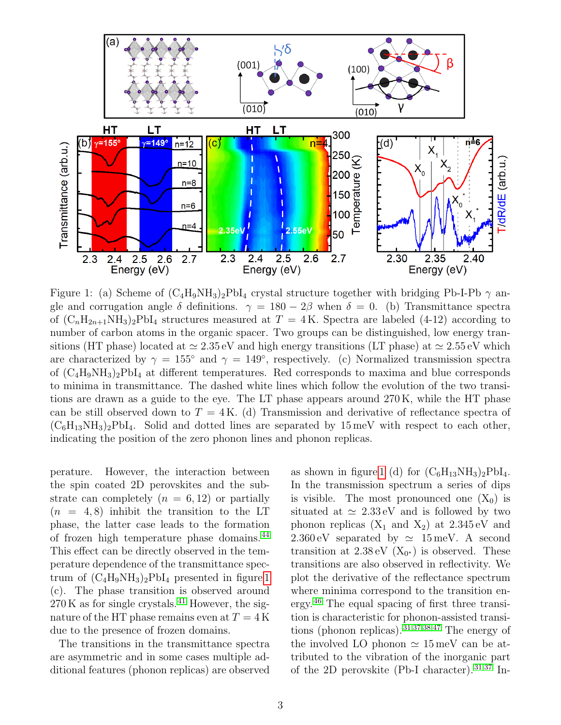<span id="page-2-0"></span>

Figure 1: (a) Scheme of  $(C_4H_9NH_3)_2PbI_4$  crystal structure together with bridging Pb-I-Pb  $\gamma$  angle and corrugation angle  $\delta$  definitions.  $\gamma = 180 - 2\beta$  when  $\delta = 0$ . (b) Transmittance spectra of  $(C_nH_{2n+1}NH_3)_2PbI_4$  structures measured at  $T = 4K$ . Spectra are labeled (4-12) according to number of carbon atoms in the organic spacer. Two groups can be distinguished, low energy transitions (HT phase) located at  $\simeq 2.35 \,\text{eV}$  and high energy transitions (LT phase) at  $\simeq 2.55 \,\text{eV}$  which are characterized by  $\gamma = 155^{\circ}$  and  $\gamma = 149^{\circ}$ , respectively. (c) Normalized transmission spectra of  $(C_4H_9NH_3)_2PbI_4$  at different temperatures. Red corresponds to maxima and blue corresponds to minima in transmittance. The dashed white lines which follow the evolution of the two transitions are drawn as a guide to the eye. The LT phase appears around 270 K, while the HT phase can be still observed down to  $T = 4K$ . (d) Transmission and derivative of reflectance spectra of  $(C_6H_{13}NH_3)_2PbI_4$ . Solid and dotted lines are separated by 15 meV with respect to each other, indicating the position of the zero phonon lines and phonon replicas.

perature. However, the interaction between the spin coated 2D perovskites and the substrate can completely  $(n = 6, 12)$  or partially  $(n = 4, 8)$  inhibit the transition to the LT phase, the latter case leads to the formation of frozen high temperature phase domains. [44](#page-10-5) This effect can be directly observed in the temperature dependence of the transmittance spectrum of  $(C_4H_9NH_3)_2PbI_4$  presented in figure [1](#page-2-0) (c). The phase transition is observed around  $270 \text{ K}$  as for single crystals.<sup>[41](#page-10-3)</sup> However, the signature of the HT phase remains even at  $T = 4$  K due to the presence of frozen domains.

The transitions in the transmittance spectra are asymmetric and in some cases multiple additional features (phonon replicas) are observed

as shown in figure [1](#page-2-0) (d) for  $(C_6H_{13}NH_3)_2PbI_4$ . In the transmission spectrum a series of dips is visible. The most pronounced one  $(X_0)$  is situated at  $\simeq 2.33 \text{ eV}$  and is followed by two phonon replicas  $(X_1 \text{ and } X_2)$  at  $2.345 \text{ eV}$  and  $2.360 \,\mathrm{eV}$  separated by  $\simeq 15 \,\mathrm{meV}$ . A second transition at  $2.38 \text{ eV}$  ( $X_{0*}$ ) is observed. These transitions are also observed in reflectivity. We plot the derivative of the reflectance spectrum where minima correspond to the transition energy.[46](#page-10-7) The equal spacing of first three transition is characteristic for phonon-assisted transitions (phonon replicas). [31,](#page-9-8)[37](#page-9-11)[,38,](#page-10-0)[47](#page-10-8) The energy of the involved LO phonon  $\simeq 15 \,\mathrm{meV}$  can be attributed to the vibration of the inorganic part of the 2D perovskite (Pb-I character). [31](#page-9-8)[,37](#page-9-11) In-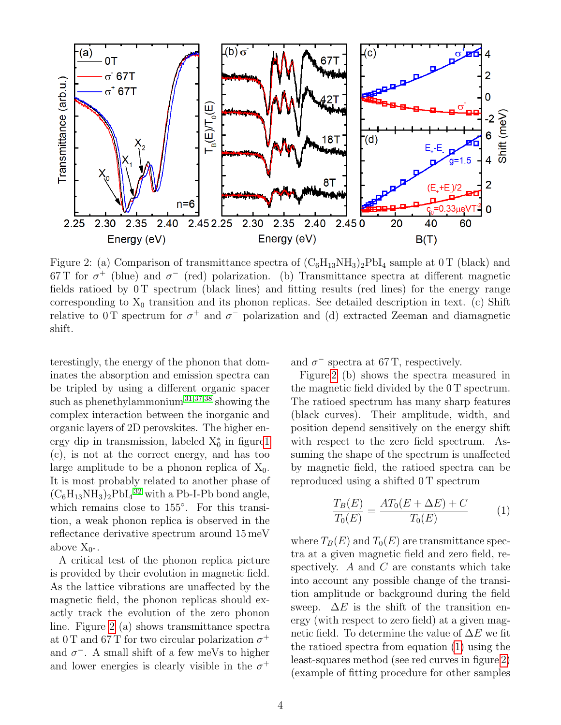<span id="page-3-0"></span>

Figure 2: (a) Comparison of transmittance spectra of  $(C_6H_{13}NH_3)_2PbI_4$  sample at 0 T (black) and 67 T for  $\sigma^+$  (blue) and  $\sigma^-$  (red) polarization. (b) Transmittance spectra at different magnetic fields ratioed by 0 T spectrum (black lines) and fitting results (red lines) for the energy range corresponding to  $X_0$  transition and its phonon replicas. See detailed description in text. (c) Shift relative to 0 T spectrum for  $\sigma^+$  and  $\sigma^-$  polarization and (d) extracted Zeeman and diamagnetic shift.

terestingly, the energy of the phonon that dominates the absorption and emission spectra can be tripled by using a different organic spacer such as phenethylammonium<sup>[31](#page-9-8)[,37,](#page-9-11)[38](#page-10-0)</sup> showing the complex interaction between the inorganic and organic layers of 2D perovskites. The higher energy dip in transmission, labeled  $X_0^*$  in figur[e1](#page-2-0) (c), is not at the correct energy, and has too large amplitude to be a phonon replica of  $X_0$ . It is most probably related to another phase of  $(C_6H_{13}NH_3)_2PbI_4^3$ <sup>2</sup> with a Pb-I-Pb bond angle, which remains close to 155◦ . For this transition, a weak phonon replica is observed in the reflectance derivative spectrum around 15 meV above  $X_{0^*}$ .

A critical test of the phonon replica picture is provided by their evolution in magnetic field. As the lattice vibrations are unaffected by the magnetic field, the phonon replicas should exactly track the evolution of the zero phonon line. Figure [2](#page-3-0) (a) shows transmittance spectra at 0 T and 67 T for two circular polarization  $\sigma^+$ and  $\sigma^-$ . A small shift of a few meVs to higher and lower energies is clearly visible in the  $\sigma^+$  and  $\sigma^-$  spectra at 67 T, respectively.

Figure [2](#page-3-0) (b) shows the spectra measured in the magnetic field divided by the 0 T spectrum. The ratioed spectrum has many sharp features (black curves). Their amplitude, width, and position depend sensitively on the energy shift with respect to the zero field spectrum. Assuming the shape of the spectrum is unaffected by magnetic field, the ratioed spectra can be reproduced using a shifted 0 T spectrum

<span id="page-3-1"></span>
$$
\frac{T_B(E)}{T_0(E)} = \frac{AT_0(E + \Delta E) + C}{T_0(E)} \tag{1}
$$

where  $T_B(E)$  and  $T_0(E)$  are transmittance spectra at a given magnetic field and zero field, respectively. A and  $C$  are constants which take into account any possible change of the transition amplitude or background during the field sweep.  $\Delta E$  is the shift of the transition energy (with respect to zero field) at a given magnetic field. To determine the value of  $\Delta E$  we fit the ratioed spectra from equation [\(1\)](#page-3-1) using the least-squares method (see red curves in figure [2\)](#page-3-0) (example of fitting procedure for other samples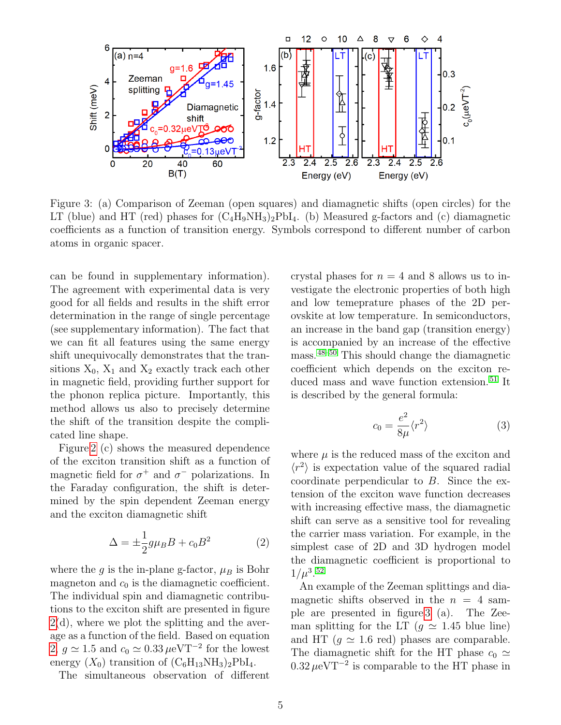<span id="page-4-1"></span>

Figure 3: (a) Comparison of Zeeman (open squares) and diamagnetic shifts (open circles) for the LT (blue) and HT (red) phases for  $(C_4H_9NH_3)_2PbI_4$ . (b) Measured g-factors and (c) diamagnetic coefficients as a function of transition energy. Symbols correspond to different number of carbon atoms in organic spacer.

can be found in supplementary information). The agreement with experimental data is very good for all fields and results in the shift error determination in the range of single percentage (see supplementary information). The fact that we can fit all features using the same energy shift unequivocally demonstrates that the transitions  $X_0$ ,  $X_1$  and  $X_2$  exactly track each other in magnetic field, providing further support for the phonon replica picture. Importantly, this method allows us also to precisely determine the shift of the transition despite the complicated line shape.

Figure [2](#page-3-0) (c) shows the measured dependence of the exciton transition shift as a function of magnetic field for  $\sigma^+$  and  $\sigma^-$  polarizations. In the Faraday configuration, the shift is determined by the spin dependent Zeeman energy and the exciton diamagnetic shift

<span id="page-4-0"></span>
$$
\Delta = \pm \frac{1}{2} g \mu_B B + c_0 B^2 \tag{2}
$$

where the g is the in-plane g-factor,  $\mu_B$  is Bohr magneton and  $c_0$  is the diamagnetic coefficient. The individual spin and diamagnetic contributions to the exciton shift are presented in figure  $2(d)$  $2(d)$ , where we plot the splitting and the average as a function of the field. Based on equation [2,](#page-4-0)  $g \approx 1.5$  and  $c_0 \approx 0.33 \,\mu\text{eV} \text{T}^{-2}$  for the lowest energy  $(X_0)$  transition of  $(C_6H_{13}NH_3)_2PbI_4$ .

The simultaneous observation of different

crystal phases for  $n = 4$  and 8 allows us to investigate the electronic properties of both high and low temeprature phases of the 2D perovskite at low temperature. In semiconductors, an increase in the band gap (transition energy) is accompanied by an increase of the effective mass.[48](#page-10-9)[–50](#page-10-10) This should change the diamagnetic coefficient which depends on the exciton reduced mass and wave function extension. [51](#page-10-11) It is described by the general formula:

$$
c_0 = \frac{e^2}{8\mu} \langle r^2 \rangle \tag{3}
$$

where  $\mu$  is the reduced mass of the exciton and  $\langle r^2 \rangle$  is expectation value of the squared radial coordinate perpendicular to B. Since the extension of the exciton wave function decreases with increasing effective mass, the diamagnetic shift can serve as a sensitive tool for revealing the carrier mass variation. For example, in the simplest case of 2D and 3D hydrogen model the diamagnetic coefficient is proportional to  $1/\mu^{3.52}$  $1/\mu^{3.52}$  $1/\mu^{3.52}$ 

An example of the Zeeman splittings and diamagnetic shifts observed in the  $n = 4$  sample are presented in figure [3](#page-4-1) (a). The Zeeman splitting for the LT ( $q \approx 1.45$  blue line) and HT ( $q \approx 1.6$  red) phases are comparable. The diamagnetic shift for the HT phase  $c_0 \simeq$  $0.32 \,\mu\text{eV}$ <sup>-2</sup> is comparable to the HT phase in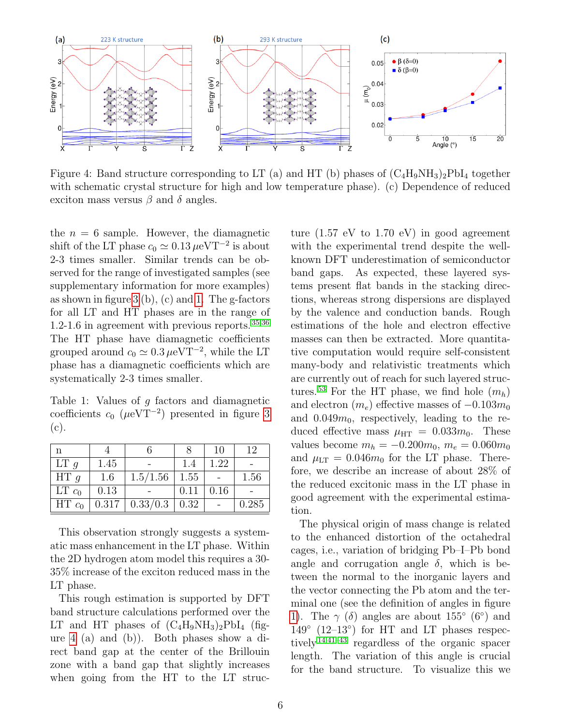<span id="page-5-1"></span>

Figure 4: Band structure corresponding to LT (a) and HT (b) phases of  $(C_4H_9NH_3)_2PbI_4$  together with schematic crystal structure for high and low temperature phase). (c) Dependence of reduced exciton mass versus  $\beta$  and  $\delta$  angles.

the  $n = 6$  sample. However, the diamagnetic shift of the LT phase  $c_0 \simeq 0.13 \,\mu eV$ T<sup>-2</sup> is about 2-3 times smaller. Similar trends can be observed for the range of investigated samples (see supplementary information for more examples) as shown in figure  $3$  (b), (c) and [1.](#page-5-0) The g-factors for all LT and HT phases are in the range of 1.2-1.6 in agreement with previous reports.  $35,36$  $35,36$ The HT phase have diamagnetic coefficients grouped around  $c_0 \simeq 0.3 \,\mu\text{eV} \text{T}^{-2}$ , while the LT phase has a diamagnetic coefficients which are systematically 2-3 times smaller.

<span id="page-5-0"></span>Table 1: Values of g factors and diamagnetic coefficients  $c_0$  ( $\mu$ eVT<sup>-2</sup>) presented in figure [3](#page-4-1) (c).

| n               |      |                                 |      | 10   | 12    |
|-----------------|------|---------------------------------|------|------|-------|
| LT <sub>g</sub> | 1.45 |                                 | 1.4  | 1.22 |       |
| HT q            | 1.6  | 1.5/1.56                        | 1.55 |      | 1.56  |
| $LT c_0$        | 0.13 |                                 | 0.11 | 0.16 |       |
| $HT_{c_0}$      |      | $0.317 \mid 0.33/0.3 \mid 0.32$ |      |      | 0.285 |

This observation strongly suggests a systematic mass enhancement in the LT phase. Within the 2D hydrogen atom model this requires a 30- 35% increase of the exciton reduced mass in the LT phase.

This rough estimation is supported by DFT band structure calculations performed over the LT and HT phases of  $(C_4H_9NH_3)_2PbI_4$  (figure [4](#page-5-1) (a) and (b)). Both phases show a direct band gap at the center of the Brillouin zone with a band gap that slightly increases when going from the HT to the LT struc-

ture  $(1.57 \text{ eV}$  to  $1.70 \text{ eV})$  in good agreement with the experimental trend despite the wellknown DFT underestimation of semiconductor band gaps. As expected, these layered systems present flat bands in the stacking directions, whereas strong dispersions are displayed by the valence and conduction bands. Rough estimations of the hole and electron effective masses can then be extracted. More quantitative computation would require self-consistent many-body and relativistic treatments which are currently out of reach for such layered struc-tures.<sup>[53](#page-11-1)</sup> For the HT phase, we find hole  $(m_h)$ and electron  $(m_e)$  effective masses of  $-0.103m_0$ and  $0.049m_0$ , respectively, leading to the reduced effective mass  $\mu_{\text{HT}} = 0.033 m_0$ . These values become  $m_h = -0.200m_0$ ,  $m_e = 0.060m_0$ and  $\mu_{LT} = 0.046m_0$  for the LT phase. Therefore, we describe an increase of about 28% of the reduced excitonic mass in the LT phase in good agreement with the experimental estimation.

The physical origin of mass change is related to the enhanced distortion of the octahedral cages, i.e., variation of bridging Pb–I–Pb bond angle and corrugation angle  $\delta$ , which is between the normal to the inorganic layers and the vector connecting the Pb atom and the terminal one (see the definition of angles in figure [1\)](#page-2-0). The  $\gamma$  ( $\delta$ ) angles are about 155° (6°) and 149◦ (12–13◦ ) for HT and LT phases respec-tively<sup>[14,](#page-8-5)[41](#page-10-3)[–43](#page-10-4)</sup> regardless of the organic spacer length. The variation of this angle is crucial for the band structure. To visualize this we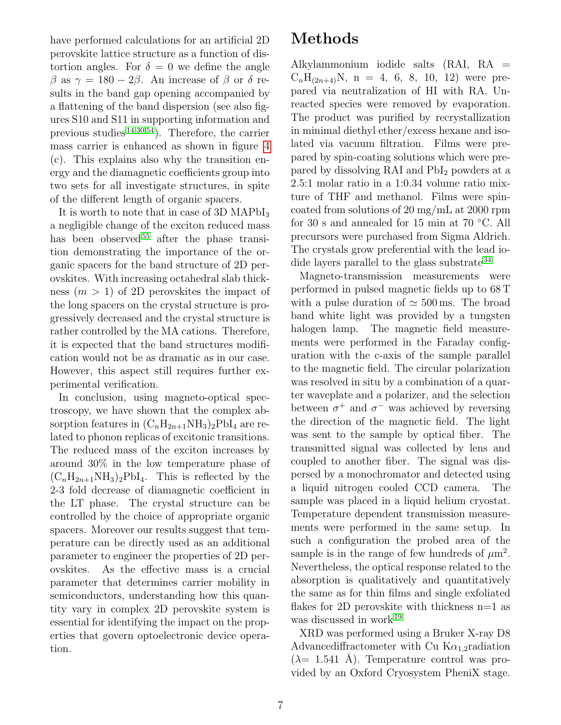have performed calculations for an artificial 2D perovskite lattice structure as a function of distortion angles. For  $\delta = 0$  we define the angle β as  $\gamma = 180 - 2\beta$ . An increase of β or δ results in the band gap opening accompanied by a flattening of the band dispersion (see also figures S10 and S11 in supporting information and previous studies<sup>[14,](#page-8-5)[30](#page-9-6)[,54](#page-11-2)</sup>). Therefore, the carrier mass carrier is enhanced as shown in figure [4](#page-5-1) (c). This explains also why the transition energy and the diamagnetic coefficients group into two sets for all investigate structures, in spite of the different length of organic spacers.

It is worth to note that in case of 3D MAPbI<sub>3</sub> a negligible change of the exciton reduced mass has been observed  $55$  after the phase transition demonstrating the importance of the organic spacers for the band structure of 2D perovskites. With increasing octahedral slab thickness  $(m > 1)$  of 2D perovskites the impact of the long spacers on the crystal structure is progressively decreased and the crystal structure is rather controlled by the MA cations. Therefore, it is expected that the band structures modification would not be as dramatic as in our case. However, this aspect still requires further experimental verification.

In conclusion, using magneto-optical spectroscopy, we have shown that the complex absorption features in  $(C_nH_{2n+1}NH_3)_2PbI_4$  are related to phonon replicas of excitonic transitions. The reduced mass of the exciton increases by around 30% in the low temperature phase of  $(C_nH_{2n+1}NH_3)_2PbI_4$ . This is reflected by the 2-3 fold decrease of diamagnetic coefficient in the LT phase. The crystal structure can be controlled by the choice of appropriate organic spacers. Moreover our results suggest that temperature can be directly used as an additional parameter to engineer the properties of 2D perovskites. As the effective mass is a crucial parameter that determines carrier mobility in semiconductors, understanding how this quantity vary in complex 2D perovskite system is essential for identifying the impact on the properties that govern optoelectronic device operation.

### Methods

Alkylammonium iodide salts (RAI, RA =  $C_nH_{(2n+4)}N$ , n = 4, 6, 8, 10, 12) were prepared via neutralization of HI with RA. Unreacted species were removed by evaporation. The product was purified by recrystallization in minimal diethyl ether/excess hexane and isolated via vacuum filtration. Films were prepared by spin-coating solutions which were prepared by dissolving RAI and PbI<sub>2</sub> powders at a 2.5:1 molar ratio in a 1:0.34 volume ratio mixture of THF and methanol. Films were spincoated from solutions of 20 mg/mL at 2000 rpm for 30 s and annealed for 15 min at 70 ◦C. All precursors were purchased from Sigma Aldrich. The crystals grow preferential with the lead io-dide layers parallel to the glass substrate<sup>[34](#page-9-7)</sup>

Magneto-transmission measurements were performed in pulsed magnetic fields up to 68 T with a pulse duration of  $\simeq 500 \,\text{ms}$ . The broad band white light was provided by a tungsten halogen lamp. The magnetic field measurements were performed in the Faraday configuration with the c-axis of the sample parallel to the magnetic field. The circular polarization was resolved in situ by a combination of a quarter waveplate and a polarizer, and the selection between  $\sigma^+$  and  $\sigma^-$  was achieved by reversing the direction of the magnetic field. The light was sent to the sample by optical fiber. The transmitted signal was collected by lens and coupled to another fiber. The signal was dispersed by a monochromator and detected using a liquid nitrogen cooled CCD camera. The sample was placed in a liquid helium cryostat. Temperature dependent transmission measurements were performed in the same setup. In such a configuration the probed area of the sample is in the range of few hundreds of  $\mu$ m<sup>2</sup>. Nevertheless, the optical response related to the absorption is qualitatively and quantitatively the same as for thin films and single exfoliated flakes for 2D perovskite with thickness  $n=1$  as was discussed in work $19$ 

XRD was performed using a Bruker X-ray D8 Advancediffractometer with Cu  $K_{\alpha_{1,2}}$ radiation  $(\lambda = 1.541 \text{ Å})$ . Temperature control was provided by an Oxford Cryosystem PheniX stage.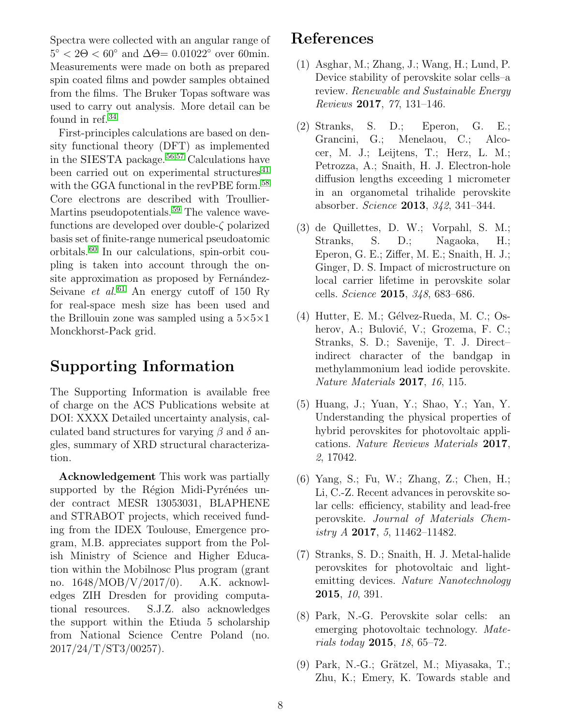Spectra were collected with an angular range of  $5^{\circ} < 2\Theta < 60^{\circ}$  and  $\Delta \Theta = 0.01022^{\circ}$  over 60min. Measurements were made on both as prepared spin coated films and powder samples obtained from the films. The Bruker Topas software was used to carry out analysis. More detail can be found in ref.<sup>[34](#page-9-7)</sup>

First-principles calculations are based on density functional theory (DFT) as implemented in the SIESTA package.<sup>[56](#page-11-4)[,57](#page-11-5)</sup> Calculations have been carried out on experimental structures<sup>[41](#page-10-3)</sup> with the GGA functional in the revPBE form.<sup>[58](#page-11-6)</sup> Core electrons are described with Troullier-Martins pseudopotentials.<sup>[59](#page-11-7)</sup> The valence wavefunctions are developed over double-ζ polarized basis set of finite-range numerical pseudoatomic orbitals.[60](#page-11-8) In our calculations, spin-orbit coupling is taken into account through the onsite approximation as proposed by Fernández-Seivane *et al.*<sup>[61](#page-11-9)</sup> An energy cutoff of 150 Ry for real-space mesh size has been used and the Brillouin zone was sampled using a  $5\times5\times1$ Monckhorst-Pack grid.

### Supporting Information

The Supporting Information is available free of charge on the ACS Publications website at DOI: XXXX Detailed uncertainty analysis, calculated band structures for varying  $\beta$  and  $\delta$  angles, summary of XRD structural characterization.

Acknowledgement This work was partially supported by the Région Midi-Pyrénées under contract MESR 13053031, BLAPHENE and STRABOT projects, which received funding from the IDEX Toulouse, Emergence program, M.B. appreciates support from the Polish Ministry of Science and Higher Education within the Mobilnosc Plus program (grant no. 1648/MOB/V/2017/0). A.K. acknowledges ZIH Dresden for providing computational resources. S.J.Z. also acknowledges the support within the Etiuda 5 scholarship from National Science Centre Poland (no. 2017/24/T/ST3/00257).

#### References

- <span id="page-7-0"></span>(1) Asghar, M.; Zhang, J.; Wang, H.; Lund, P. Device stability of perovskite solar cells–a review. Renewable and Sustainable Energy Reviews 2017, 77, 131–146.
- <span id="page-7-1"></span>(2) Stranks, S. D.; Eperon, G. E.; Grancini, G.; Menelaou, C.; Alcocer, M. J.; Leijtens, T.; Herz, L. M.; Petrozza, A.; Snaith, H. J. Electron-hole diffusion lengths exceeding 1 micrometer in an organometal trihalide perovskite absorber. Science 2013, 342, 341–344.
- (3) de Quillettes, D. W.; Vorpahl, S. M.; Stranks, S. D.; Nagaoka, H.; Eperon, G. E.; Ziffer, M. E.; Snaith, H. J.; Ginger, D. S. Impact of microstructure on local carrier lifetime in perovskite solar cells. Science 2015, 348, 683–686.
- $(4)$  Hutter, E. M.; Gélvez-Rueda, M. C.; Osherov, A.; Bulović, V.; Grozema, F. C.; Stranks, S. D.; Savenije, T. J. Direct– indirect character of the bandgap in methylammonium lead iodide perovskite. Nature Materials 2017, 16, 115.
- (5) Huang, J.; Yuan, Y.; Shao, Y.; Yan, Y. Understanding the physical properties of hybrid perovskites for photovoltaic applications. Nature Reviews Materials 2017, 2, 17042.
- (6) Yang, S.; Fu, W.; Zhang, Z.; Chen, H.; Li, C.-Z. Recent advances in perovskite solar cells: efficiency, stability and lead-free perovskite. Journal of Materials Chemistry  $A$  2017, 5, 11462–11482.
- (7) Stranks, S. D.; Snaith, H. J. Metal-halide perovskites for photovoltaic and lightemitting devices. Nature Nanotechnology 2015, 10, 391.
- <span id="page-7-2"></span>(8) Park, N.-G. Perovskite solar cells: an emerging photovoltaic technology. Mate*rials today* **2015**, 18, 65–72.
- <span id="page-7-3"></span> $(9)$  Park, N.-G.; Grätzel, M.; Miyasaka, T.; Zhu, K.; Emery, K. Towards stable and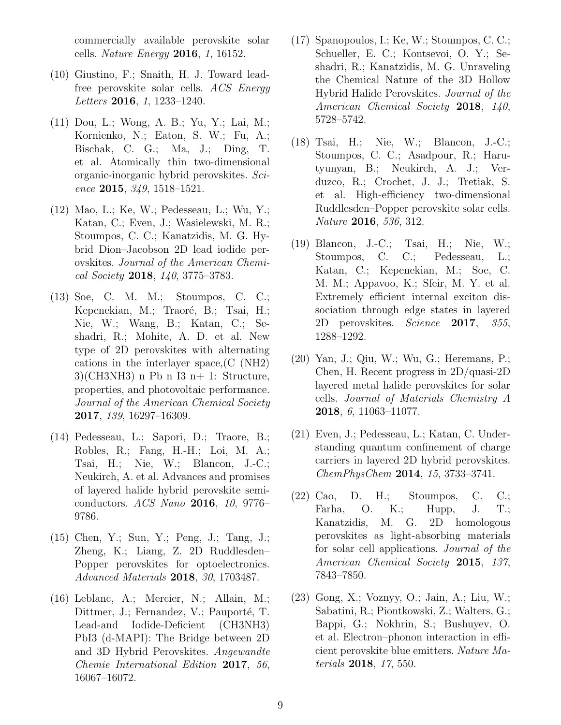commercially available perovskite solar cells. Nature Energy 2016, 1, 16152.

- <span id="page-8-0"></span>(10) Giustino, F.; Snaith, H. J. Toward leadfree perovskite solar cells. ACS Energy Letters 2016, 1, 1233-1240.
- (11) Dou, L.; Wong, A. B.; Yu, Y.; Lai, M.; Kornienko, N.; Eaton, S. W.; Fu, A.; Bischak, C. G.; Ma, J.; Ding, T. et al. Atomically thin two-dimensional organic-inorganic hybrid perovskites. Science 2015,  $349, 1518 - 1521$ .
- (12) Mao, L.; Ke, W.; Pedesseau, L.; Wu, Y.; Katan, C.; Even, J.; Wasielewski, M. R.; Stoumpos, C. C.; Kanatzidis, M. G. Hybrid Dion–Jacobson 2D lead iodide perovskites. Journal of the American Chemical Society 2018, 140, 3775–3783.
- (13) Soe, C. M. M.; Stoumpos, C. C.; Kepenekian, M.; Traoré, B.; Tsai, H.; Nie, W.; Wang, B.; Katan, C.; Seshadri, R.; Mohite, A. D. et al. New type of 2D perovskites with alternating cations in the interlayer space,(C (NH2)  $3$ (CH3NH3) n Pb n I3 n+ 1: Structure, properties, and photovoltaic performance. Journal of the American Chemical Society 2017, 139, 16297–16309.
- <span id="page-8-5"></span>(14) Pedesseau, L.; Sapori, D.; Traore, B.; Robles, R.; Fang, H.-H.; Loi, M. A.; Tsai, H.; Nie, W.; Blancon, J.-C.; Neukirch, A. et al. Advances and promises of layered halide hybrid perovskite semiconductors. ACS Nano 2016, 10, 9776-9786.
- <span id="page-8-2"></span>(15) Chen, Y.; Sun, Y.; Peng, J.; Tang, J.; Zheng, K.; Liang, Z. 2D Ruddlesden– Popper perovskites for optoelectronics. Advanced Materials 2018, 30, 1703487.
- (16) Leblanc, A.; Mercier, N.; Allain, M.; Dittmer, J.; Fernandez, V.; Pauporté, T. Lead-and Iodide-Deficient (CH3NH3) PbI3 (d-MAPI): The Bridge between 2D and 3D Hybrid Perovskites. Angewandte Chemie International Edition 2017, 56, 16067–16072.
- <span id="page-8-1"></span>(17) Spanopoulos, I.; Ke, W.; Stoumpos, C. C.; Schueller, E. C.; Kontsevoi, O. Y.; Seshadri, R.; Kanatzidis, M. G. Unraveling the Chemical Nature of the 3D Hollow Hybrid Halide Perovskites. Journal of the American Chemical Society 2018, 140, 5728–5742.
- <span id="page-8-3"></span>(18) Tsai, H.; Nie, W.; Blancon, J.-C.; Stoumpos, C. C.; Asadpour, R.; Harutyunyan, B.; Neukirch, A. J.; Verduzco, R.; Crochet, J. J.; Tretiak, S. et al. High-efficiency two-dimensional Ruddlesden–Popper perovskite solar cells. Nature 2016, 536, 312.
- <span id="page-8-9"></span>(19) Blancon, J.-C.; Tsai, H.; Nie, W.; Stoumpos, C. C.; Pedesseau, L.; Katan, C.; Kepenekian, M.; Soe, C. M. M.; Appavoo, K.; Sfeir, M. Y. et al. Extremely efficient internal exciton dissociation through edge states in layered 2D perovskites. Science 2017, 355, 1288–1292.
- <span id="page-8-4"></span>(20) Yan, J.; Qiu, W.; Wu, G.; Heremans, P.; Chen, H. Recent progress in 2D/quasi-2D layered metal halide perovskites for solar cells. Journal of Materials Chemistry A 2018, 6, 11063–11077.
- <span id="page-8-6"></span>(21) Even, J.; Pedesseau, L.; Katan, C. Understanding quantum confinement of charge carriers in layered 2D hybrid perovskites. ChemPhysChem 2014, 15, 3733–3741.
- <span id="page-8-7"></span>(22) Cao, D. H.; Stoumpos, C. C.; Farha, O. K.; Hupp, J. T.; Kanatzidis, M. G. 2D homologous perovskites as light-absorbing materials for solar cell applications. Journal of the American Chemical Society 2015, 137, 7843–7850.
- <span id="page-8-8"></span>(23) Gong, X.; Voznyy, O.; Jain, A.; Liu, W.; Sabatini, R.; Piontkowski, Z.; Walters, G.; Bappi, G.; Nokhrin, S.; Bushuyev, O. et al. Electron–phonon interaction in efficient perovskite blue emitters. Nature Materials 2018, 17, 550.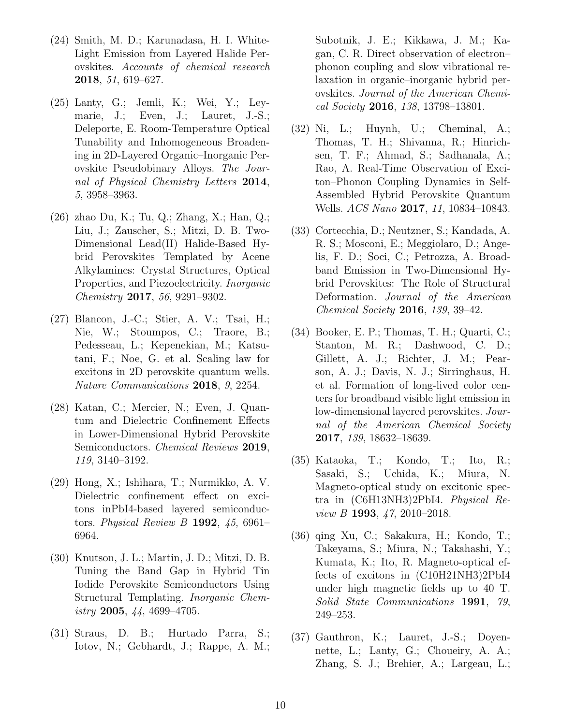- <span id="page-9-0"></span>(24) Smith, M. D.; Karunadasa, H. I. White-Light Emission from Layered Halide Perovskites. Accounts of chemical research 2018, 51, 619–627.
- <span id="page-9-1"></span>(25) Lanty, G.; Jemli, K.; Wei, Y.; Leymarie, J.; Even, J.; Lauret, J.-S.; Deleporte, E. Room-Temperature Optical Tunability and Inhomogeneous Broadening in 2D-Layered Organic–Inorganic Perovskite Pseudobinary Alloys. The Journal of Physical Chemistry Letters 2014, 5, 3958–3963.
- <span id="page-9-2"></span>(26) zhao Du, K.; Tu, Q.; Zhang, X.; Han, Q.; Liu, J.; Zauscher, S.; Mitzi, D. B. Two-Dimensional Lead(II) Halide-Based Hybrid Perovskites Templated by Acene Alkylamines: Crystal Structures, Optical Properties, and Piezoelectricity. Inorganic Chemistry 2017, 56, 9291–9302.
- <span id="page-9-3"></span>(27) Blancon, J.-C.; Stier, A. V.; Tsai, H.; Nie, W.; Stoumpos, C.; Traore, B.; Pedesseau, L.; Kepenekian, M.; Katsutani, F.; Noe, G. et al. Scaling law for excitons in 2D perovskite quantum wells. Nature Communications 2018, 9, 2254.
- <span id="page-9-4"></span>(28) Katan, C.; Mercier, N.; Even, J. Quantum and Dielectric Confinement Effects in Lower-Dimensional Hybrid Perovskite Semiconductors. *Chemical Reviews* 2019, 119, 3140–3192.
- <span id="page-9-5"></span>(29) Hong, X.; Ishihara, T.; Nurmikko, A. V. Dielectric confinement effect on excitons inPbI4-based layered semiconductors. Physical Review B 1992,  $45,6961-$ 6964.
- <span id="page-9-6"></span>(30) Knutson, J. L.; Martin, J. D.; Mitzi, D. B. Tuning the Band Gap in Hybrid Tin Iodide Perovskite Semiconductors Using Structural Templating. Inorganic Chem $i$ stry 2005, 44, 4699–4705.
- <span id="page-9-8"></span>(31) Straus, D. B.; Hurtado Parra, S.; Iotov, N.; Gebhardt, J.; Rappe, A. M.;

Subotnik, J. E.; Kikkawa, J. M.; Kagan, C. R. Direct observation of electron– phonon coupling and slow vibrational relaxation in organic–inorganic hybrid perovskites. Journal of the American Chemical Society 2016, 138, 13798–13801.

- <span id="page-9-10"></span>(32) Ni, L.; Huynh, U.; Cheminal, A.; Thomas, T. H.; Shivanna, R.; Hinrichsen, T. F.; Ahmad, S.; Sadhanala, A.; Rao, A. Real-Time Observation of Exciton–Phonon Coupling Dynamics in Self-Assembled Hybrid Perovskite Quantum Wells. ACS Nano 2017, 11, 10834–10843.
- (33) Cortecchia, D.; Neutzner, S.; Kandada, A. R. S.; Mosconi, E.; Meggiolaro, D.; Angelis, F. D.; Soci, C.; Petrozza, A. Broadband Emission in Two-Dimensional Hybrid Perovskites: The Role of Structural Deformation. Journal of the American Chemical Society 2016, 139, 39–42.
- <span id="page-9-7"></span>(34) Booker, E. P.; Thomas, T. H.; Quarti, C.; Stanton, M. R.; Dashwood, C. D.; Gillett, A. J.; Richter, J. M.; Pearson, A. J.; Davis, N. J.; Sirringhaus, H. et al. Formation of long-lived color centers for broadband visible light emission in low-dimensional layered perovskites. Journal of the American Chemical Society 2017, 139, 18632–18639.
- <span id="page-9-9"></span>(35) Kataoka, T.; Kondo, T.; Ito, R.; Sasaki, S.; Uchida, K.; Miura, N. Magneto-optical study on excitonic spectra in (C6H13NH3)2PbI4. Physical Review  $B$  1993,  $\frac{4}{7}$ , 2010–2018.
- <span id="page-9-12"></span>(36) qing Xu, C.; Sakakura, H.; Kondo, T.; Takeyama, S.; Miura, N.; Takahashi, Y.; Kumata, K.; Ito, R. Magneto-optical effects of excitons in (C10H21NH3)2PbI4 under high magnetic fields up to 40 T. Solid State Communications 1991, 79, 249–253.
- <span id="page-9-11"></span>(37) Gauthron, K.; Lauret, J.-S.; Doyennette, L.; Lanty, G.; Choueiry, A. A.; Zhang, S. J.; Brehier, A.; Largeau, L.;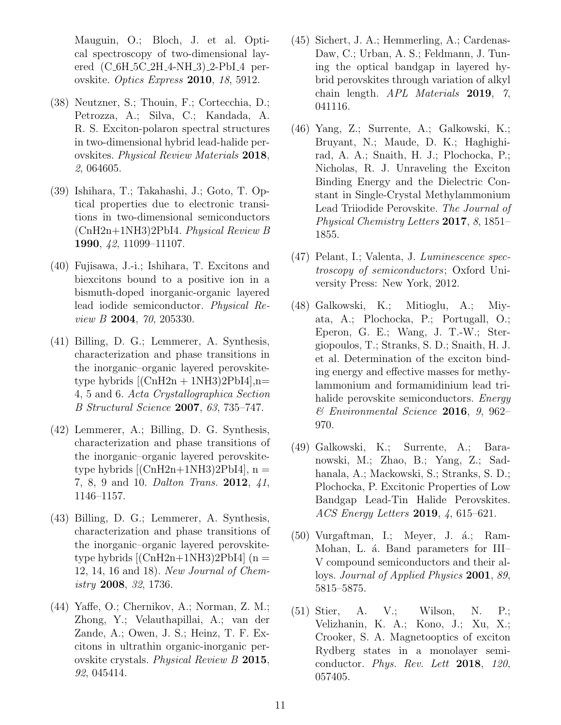Mauguin, O.; Bloch, J. et al. Optical spectroscopy of two-dimensional layered (C 6H 5C 2H 4-NH 3) 2-PbI 4 perovskite. Optics Express 2010, 18, 5912.

- <span id="page-10-0"></span>(38) Neutzner, S.; Thouin, F.; Cortecchia, D.; Petrozza, A.; Silva, C.; Kandada, A. R. S. Exciton-polaron spectral structures in two-dimensional hybrid lead-halide perovskites. Physical Review Materials 2018, 2, 064605.
- <span id="page-10-1"></span>(39) Ishihara, T.; Takahashi, J.; Goto, T. Optical properties due to electronic transitions in two-dimensional semiconductors (CnH2n+1NH3)2PbI4. Physical Review B 1990, 42, 11099–11107.
- <span id="page-10-2"></span>(40) Fujisawa, J.-i.; Ishihara, T. Excitons and biexcitons bound to a positive ion in a bismuth-doped inorganic-organic layered lead iodide semiconductor. Physical Review B 2004, 70, 205330.
- <span id="page-10-3"></span>(41) Billing, D. G.; Lemmerer, A. Synthesis, characterization and phase transitions in the inorganic–organic layered perovskitetype hybrids  $[(\text{ChH2n} + 1)H3)2PbI4]$ , n= 4, 5 and 6. Acta Crystallographica Section B Structural Science 2007, 63, 735–747.
- (42) Lemmerer, A.; Billing, D. G. Synthesis, characterization and phase transitions of the inorganic–organic layered perovskitetype hybrids  $[(\text{CnH2n+1NH3})2\text{PbI4}]$ , n = 7, 8, 9 and 10. Dalton Trans. **2012**, 41, 1146–1157.
- <span id="page-10-4"></span>(43) Billing, D. G.; Lemmerer, A. Synthesis, characterization and phase transitions of the inorganic–organic layered perovskitetype hybrids  $[(\text{CnH2n+1NH3})2\text{PbI4}]$  (n = 12, 14, 16 and 18). New Journal of Chemistry 2008, 32, 1736.
- <span id="page-10-5"></span>(44) Yaffe, O.; Chernikov, A.; Norman, Z. M.; Zhong, Y.; Velauthapillai, A.; van der Zande, A.; Owen, J. S.; Heinz, T. F. Excitons in ultrathin organic-inorganic perovskite crystals. Physical Review B 2015, 92, 045414.
- <span id="page-10-6"></span>(45) Sichert, J. A.; Hemmerling, A.; Cardenas-Daw, C.; Urban, A. S.; Feldmann, J. Tuning the optical bandgap in layered hybrid perovskites through variation of alkyl chain length. APL Materials 2019, 7, 041116.
- <span id="page-10-7"></span>(46) Yang, Z.; Surrente, A.; Galkowski, K.; Bruyant, N.; Maude, D. K.; Haghighirad, A. A.; Snaith, H. J.; Plochocka, P.; Nicholas, R. J. Unraveling the Exciton Binding Energy and the Dielectric Constant in Single-Crystal Methylammonium Lead Triiodide Perovskite. The Journal of Physical Chemistry Letters 2017, 8, 1851– 1855.
- <span id="page-10-8"></span>(47) Pelant, I.; Valenta, J. Luminescence spectroscopy of semiconductors; Oxford University Press: New York, 2012.
- <span id="page-10-9"></span>(48) Galkowski, K.; Mitioglu, A.; Miyata, A.; Plochocka, P.; Portugall, O.; Eperon, G. E.; Wang, J. T.-W.; Stergiopoulos, T.; Stranks, S. D.; Snaith, H. J. et al. Determination of the exciton binding energy and effective masses for methylammonium and formamidinium lead trihalide perovskite semiconductors. Energy & Environmental Science 2016, 9, 962– 970.
- (49) Galkowski, K.; Surrente, A.; Baranowski, M.; Zhao, B.; Yang, Z.; Sadhanala, A.; Mackowski, S.; Stranks, S. D.; Plochocka, P. Excitonic Properties of Low Bandgap Lead-Tin Halide Perovskites. ACS Energy Letters 2019, 4, 615–621.
- <span id="page-10-10"></span> $(50)$  Vurgaftman, I.; Meyer, J.  $\acute{a}$ .; Ram-Mohan, L. á. Band parameters for III– V compound semiconductors and their alloys. Journal of Applied Physics 2001, 89, 5815–5875.
- <span id="page-10-11"></span>(51) Stier, A. V.; Wilson, N. P.; Velizhanin, K. A.; Kono, J.; Xu, X.; Crooker, S. A. Magnetooptics of exciton Rydberg states in a monolayer semiconductor. Phys. Rev. Lett 2018, 120, 057405.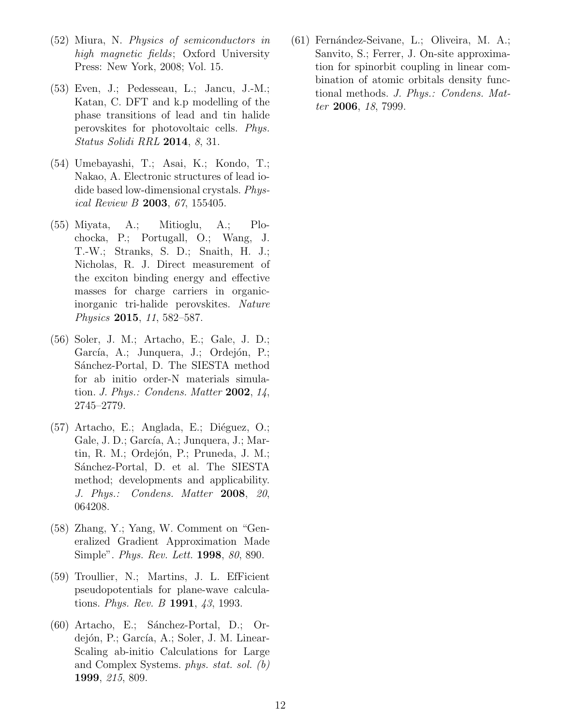- <span id="page-11-0"></span>(52) Miura, N. Physics of semiconductors in high magnetic fields; Oxford University Press: New York, 2008; Vol. 15.
- <span id="page-11-1"></span>(53) Even, J.; Pedesseau, L.; Jancu, J.-M.; Katan, C. DFT and k.p modelling of the phase transitions of lead and tin halide perovskites for photovoltaic cells. Phys. Status Solidi RRL 2014, 8, 31.
- <span id="page-11-2"></span>(54) Umebayashi, T.; Asai, K.; Kondo, T.; Nakao, A. Electronic structures of lead iodide based low-dimensional crystals. Physical Review B 2003, 67, 155405.
- <span id="page-11-3"></span>(55) Miyata, A.; Mitioglu, A.; Plochocka, P.; Portugall, O.; Wang, J. T.-W.; Stranks, S. D.; Snaith, H. J.; Nicholas, R. J. Direct measurement of the exciton binding energy and effective masses for charge carriers in organicinorganic tri-halide perovskites. Nature Physics 2015, 11, 582–587.
- <span id="page-11-4"></span>(56) Soler, J. M.; Artacho, E.; Gale, J. D.; García, A.; Junquera, J.; Ordejón, P.; Sánchez-Portal, D. The SIESTA method for ab initio order-N materials simulation. *J. Phys.: Condens. Matter* 2002,  $14$ , 2745–2779.
- <span id="page-11-5"></span> $(57)$  Artacho, E.; Anglada, E.; Diéguez, O.; Gale, J. D.; García, A.; Junquera, J.; Martin, R. M.; Ordejón, P.; Pruneda, J. M.; Sánchez-Portal, D. et al. The SIESTA method; developments and applicability. J. Phys.: Condens. Matter 2008, 20, 064208.
- <span id="page-11-6"></span>(58) Zhang, Y.; Yang, W. Comment on "Generalized Gradient Approximation Made Simple". Phys. Rev. Lett. 1998, 80, 890.
- <span id="page-11-7"></span>(59) Troullier, N.; Martins, J. L. EfFicient pseudopotentials for plane-wave calculations. *Phys. Rev. B* **1991**, 43, 1993.
- <span id="page-11-8"></span> $(60)$  Artacho, E.; Sánchez-Portal, D.; Ordejón, P.; García, A.; Soler, J. M. Linear-Scaling ab-initio Calculations for Large and Complex Systems. phys. stat. sol. (b) 1999, 215, 809.

<span id="page-11-9"></span>(61) Fernández-Seivane, L.; Oliveira, M. A.; Sanvito, S.; Ferrer, J. On-site approximation for spinorbit coupling in linear combination of atomic orbitals density functional methods. J. Phys.: Condens. Matter **2006**, 18, 7999.